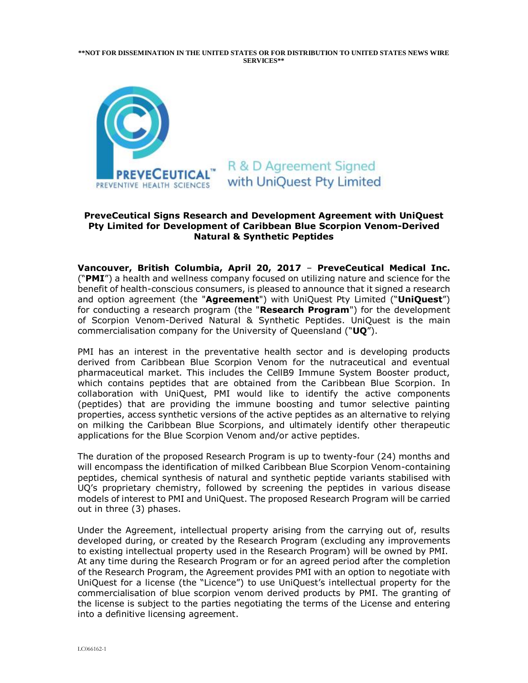**\*\*NOT FOR DISSEMINATION IN THE UNITED STATES OR FOR DISTRIBUTION TO UNITED STATES NEWS WIRE SERVICES\*\***



# R & D Agreement Signed with UniQuest Pty Limited

## **PreveCeutical Signs Research and Development Agreement with UniQuest Pty Limited for Development of Caribbean Blue Scorpion Venom-Derived Natural & Synthetic Peptides**

**Vancouver, British Columbia, April 20, 2017** – **PreveCeutical Medical Inc.** ("**PMI**") a health and wellness company focused on utilizing nature and science for the benefit of health-conscious consumers, is pleased to announce that it signed a research and option agreement (the "**Agreement**") with UniQuest Pty Limited ("**UniQuest**") for conducting a research program (the "**Research Program**") for the development of Scorpion Venom-Derived Natural & Synthetic Peptides. UniQuest is the main commercialisation company for the University of Queensland ("**UQ**").

PMI has an interest in the preventative health sector and is developing products derived from Caribbean Blue Scorpion Venom for the nutraceutical and eventual pharmaceutical market. This includes the CellB9 Immune System Booster product, which contains peptides that are obtained from the Caribbean Blue Scorpion. In collaboration with UniQuest, PMI would like to identify the active components (peptides) that are providing the immune boosting and tumor selective painting properties, access synthetic versions of the active peptides as an alternative to relying on milking the Caribbean Blue Scorpions, and ultimately identify other therapeutic applications for the Blue Scorpion Venom and/or active peptides.

The duration of the proposed Research Program is up to twenty-four (24) months and will encompass the identification of milked Caribbean Blue Scorpion Venom-containing peptides, chemical synthesis of natural and synthetic peptide variants stabilised with UQ's proprietary chemistry, followed by screening the peptides in various disease models of interest to PMI and UniQuest. The proposed Research Program will be carried out in three (3) phases.

Under the Agreement, intellectual property arising from the carrying out of, results developed during, or created by the Research Program (excluding any improvements to existing intellectual property used in the Research Program) will be owned by PMI. At any time during the Research Program or for an agreed period after the completion of the Research Program, the Agreement provides PMI with an option to negotiate with UniQuest for a license (the "Licence") to use UniQuest's intellectual property for the commercialisation of blue scorpion venom derived products by PMI. The granting of the license is subject to the parties negotiating the terms of the License and entering into a definitive licensing agreement.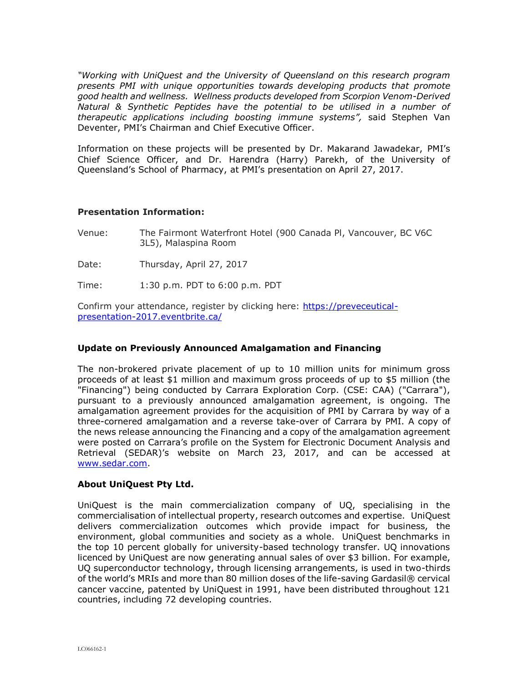*"Working with UniQuest and the University of Queensland on this research program presents PMI with unique opportunities towards developing products that promote good health and wellness. Wellness products developed from Scorpion Venom-Derived Natural & Synthetic Peptides have the potential to be utilised in a number of therapeutic applications including boosting immune systems",* said Stephen Van Deventer, PMI's Chairman and Chief Executive Officer.

Information on these projects will be presented by Dr. Makarand Jawadekar, PMI's Chief Science Officer, and Dr. Harendra (Harry) Parekh, of the University of Queensland's School of Pharmacy, at PMI's presentation on April 27, 2017.

## **Presentation Information:**

Venue: The Fairmont Waterfront Hotel (900 Canada Pl, Vancouver, BC V6C 3L5), Malaspina Room

Date: Thursday, April 27, 2017

Time: 1:30 p.m. PDT to 6:00 p.m. PDT

Confirm your attendance, register by clicking here: [https://preveceutical](https://preveceutical-presentation-2017.eventbrite.ca/)[presentation-2017.eventbrite.ca/](https://preveceutical-presentation-2017.eventbrite.ca/)

## **Update on Previously Announced Amalgamation and Financing**

The non-brokered private placement of up to 10 million units for minimum gross proceeds of at least \$1 million and maximum gross proceeds of up to \$5 million (the "Financing") being conducted by Carrara Exploration Corp. (CSE: CAA) ("Carrara"), pursuant to a previously announced amalgamation agreement, is ongoing. The amalgamation agreement provides for the acquisition of PMI by Carrara by way of a three-cornered amalgamation and a reverse take-over of Carrara by PMI. A copy of the news release announcing the Financing and a copy of the amalgamation agreement were posted on Carrara's profile on the System for Electronic Document Analysis and Retrieval (SEDAR)'s website on March 23, 2017, and can be accessed at [www.sedar.com.](http://www.sedar.com/)

### **About UniQuest Pty Ltd.**

UniQuest is the main commercialization company of UQ, specialising in the commercialisation of intellectual property, research outcomes and expertise. UniQuest delivers commercialization outcomes which provide impact for business, the environment, global communities and society as a whole. UniQuest benchmarks in the top 10 percent globally for university-based technology transfer. UQ innovations licenced by UniQuest are now generating annual sales of over \$3 billion. For example, UQ superconductor technology, through licensing arrangements, is used in two-thirds of the world's MRIs and more than 80 million doses of the life-saving Gardasil® cervical cancer vaccine, patented by UniQuest in 1991, have been distributed throughout 121 countries, including 72 developing countries.